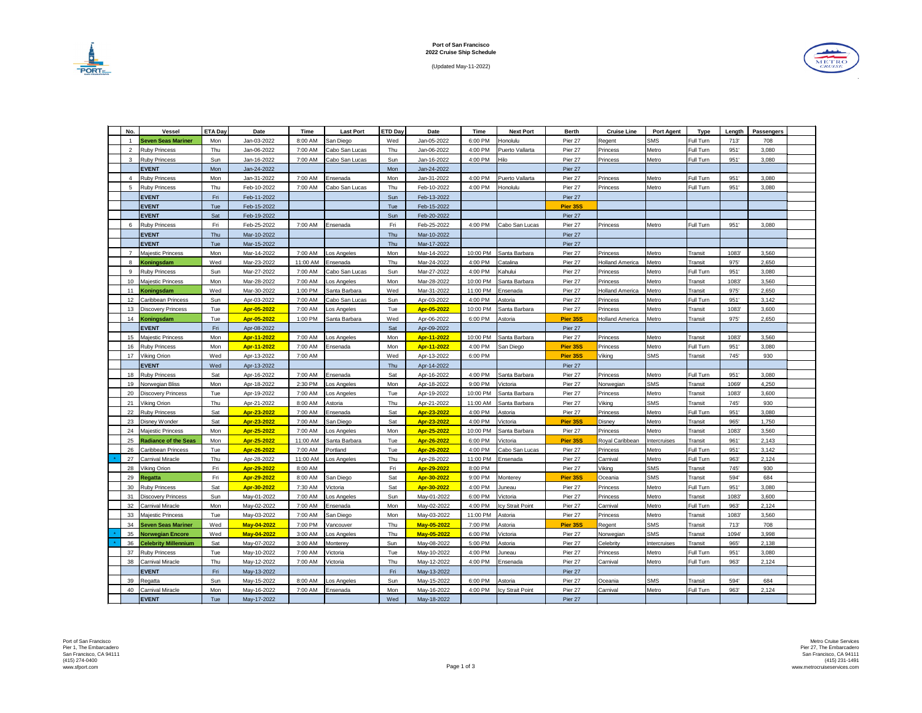(Updated May-11-2022)





| No.              | <b>Vessel</b>               | <b>ETA Day</b> | <b>Date</b> | <b>Time</b>      | <b>Last Port</b> | <b>ETD Day</b> | <b>Date</b>        | Time     | <b>Next Port</b>      | <b>Berth</b>    | <b>Cruise Line</b>     | <b>Port Agent</b> | <b>Type</b>    | Length | <b>Passengers</b> |  |
|------------------|-----------------------------|----------------|-------------|------------------|------------------|----------------|--------------------|----------|-----------------------|-----------------|------------------------|-------------------|----------------|--------|-------------------|--|
|                  | <b>Seven Seas Mariner</b>   | Mon            | Jan-03-2022 | 8:00 AM          | San Diego        | Wed            | Jan-05-2022        | 6:00 PM  | Honolulu              | Pier 27         | Regent                 | <b>SMS</b>        | Full Turn      | 713'   | 708               |  |
| 2                | <b>Ruby Princess</b>        | Thu            | Jan-06-2022 | 7:00 AM          | Cabo San Lucas   | Thu            | Jan-06-2022        | 4:00 PM  | Puerto Vallarta       | Pier 27         | Princess               | Metro             | Full Turn      | 951'   | 3,080             |  |
| 3                | <b>Ruby Princess</b>        | Sun            | Jan-16-2022 | 7:00 AM          | Cabo San Lucas   | Sun            | Jan-16-2022        | 4:00 PM  | Hilo                  | Pier 27         | Princess               | Metro             | Full Turn      | 951'   | 3,080             |  |
|                  | <b>EVENT</b>                | Mon            | Jan-24-2022 |                  |                  | Mon            | Jan-24-2022        |          |                       | Pier 27         |                        |                   |                |        |                   |  |
|                  | <b>Ruby Princess</b>        | Mon            | Jan-31-2022 | 7:00 AM          | Ensenada         | Mon            | Jan-31-2022        | 4:00 PM  | Puerto Vallarta       | Pier 27         | Princess               | Metro             | Full Turn      | 951'   | 3,080             |  |
| 5                | <b>Ruby Princess</b>        | Thu            | Feb-10-2022 | 7:00 AM          | Cabo San Lucas   | Thu            | Feb-10-2022        | 4:00 PM  | Honolulu              | Pier 27         | Princess               | Metro             | Full Turn      | 951'   | 3,080             |  |
|                  | <b>EVENT</b>                | Fri            | Feb-11-2022 |                  |                  | Sun            | Feb-13-2022        |          |                       | Pier 27         |                        |                   |                |        |                   |  |
|                  | <b>EVENT</b>                | Tue            | Feb-15-2022 |                  |                  | Tue            | Feb-15-2022        |          |                       | <b>Pier 35S</b> |                        |                   |                |        |                   |  |
|                  | <b>EVENT</b>                | Sat            | Feb-19-2022 |                  |                  | Sun            | Feb-20-2022        |          |                       | Pier 27         |                        |                   |                |        |                   |  |
|                  | <b>Ruby Princess</b>        | Fri            | Feb-25-2022 | 7:00 AM          | Ensenada         | Fri            | Feb-25-2022        | 4:00 PM  | Cabo San Lucas        | Pier 27         | Princess               | Metro             | Full Turn      | 951'   | 3,080             |  |
|                  | <b>EVENT</b>                | Thu            | Mar-10-2022 |                  |                  | Thu            | Mar-10-2022        |          |                       | Pier 27         |                        |                   |                |        |                   |  |
|                  | <b>EVENT</b>                | Tue            | Mar-15-2022 |                  |                  | Thu            | Mar-17-2022        |          |                       | Pier 27         |                        |                   |                |        |                   |  |
|                  | <b>Majestic Princess</b>    | Mon            | Mar-14-2022 | 7:00 AM          | Los Angeles      | Mon            | Mar-14-2022        | 10:00 PM | Santa Barbara         | Pier 27         | Princess               | Metro             | Transit        | 1083'  | 3,560             |  |
| 8                | Koningsdam                  | Wed            | Mar-23-2022 | 11:00 AM         | Ensenada         | Thu            | Mar-24-2022        | 4:00 PM  | Catalina              | Pier 27         | <b>Holland America</b> | Metro             | Transit        | 975'   | 2,650             |  |
|                  | <b>Ruby Princess</b>        | Sun            | Mar-27-2022 | 7:00 AM          | Cabo San Lucas   | Sun            | Mar-27-2022        | 4:00 PM  | Kahului               | Pier 27         | Princess               | Metro             | Full Turn      | 951'   | 3,080             |  |
| 10               | Majestic Princess           | Mon            | Mar-28-2022 | 7:00 AM          | Los Angeles      | Mon            | Mar-28-2022        | 10:00 PM | Santa Barbara         | Pier 27         | Princess               | Metro             | Transit        | 1083'  | 3,560             |  |
| 11               | Koningsdam                  | Wed            | Mar-30-2022 | 1:00 PM          | Santa Barbara    | Wed            | Mar-31-2022        | 11:00 PM | Ensenada              | Pier 27         | <b>Holland America</b> | Metro             | Transit        | 975'   | 2,650             |  |
| 12 <sup>°</sup>  | <b>Caribbean Princess</b>   | Sun            | Apr-03-2022 | 7:00 AM          | Cabo San Lucas   | Sun            | Apr-03-2022        | 4:00 PM  | Astoria               | Pier 27         | Princess               | Metro             | Full Turn      | 951'   | 3,142             |  |
| 13               | <b>Discovery Princess</b>   | Tue            | Apr-05-2022 | 7:00 AM          | Los Angeles      | Tue            | Apr-05-2022        | 10:00 PM | Santa Barbara         | Pier 27         | Princess               | Metro             | Transit        | 1083'  | 3,600             |  |
| 14               | Koningsdam                  | Tue            | Apr-05-2022 | 1:00 PM          | Santa Barbara    | Wed            | Apr-06-2022        | 6:00 PM  | Astoria               | Pier 35S        | <b>Holland America</b> | Metro             | Transit        | 975'   | 2,650             |  |
|                  | <b>EVENT</b>                | Fri            | Apr-08-2022 |                  |                  | Sat            | Apr-09-2022        |          |                       | Pier 27         |                        |                   |                |        |                   |  |
| 15 <sub>15</sub> | Majestic Princess           | Mon            | Apr-11-2022 | 7:00 AM          | Los Angeles      | Mon            | Apr-11-2022        | 10:00 PM | Santa Barbara         | Pier 27         | Princess               | Metro             | Transit        | 1083'  | 3,560             |  |
| 16               | <b>Ruby Princess</b>        | Mon            | Apr-11-2022 | 7:00 AM          | Ensenada         | Mon            | Apr-11-2022        | 4:00 PM  | San Diego             | Pier 35S        | Princess               | Metro             | Full Turn      | 951'   | 3,080             |  |
| 17               | Viking Orion                | Wed            | Apr-13-2022 | 7:00 AM          |                  | Wed            | Apr-13-2022        | 6:00 PM  |                       | <b>Pier 35S</b> | Viking                 | <b>SMS</b>        | Transit        | 745'   | 930               |  |
|                  | <b>EVENT</b>                | Wed            | Apr-13-2022 |                  |                  | Thu            | Apr-14-2022        |          |                       | Pier 27         |                        |                   |                |        |                   |  |
|                  | 18 Ruby Princess            | Sat            | Apr-16-2022 | 7:00 AM Ensenada |                  | Sat            | Apr-16-2022        |          | 4:00 PM Santa Barbara | Pier 27         | Princess               | Metro             | Full Turn      | 951'   | 3,080             |  |
| 19               | Norwegian Bliss             | Mon            | Apr-18-2022 | 2:30 PM          | Los Angeles      | Mon            | Apr-18-2022        | 9:00 PM  | Victoria              | Pier 27         | Norwegian              | <b>SMS</b>        | Transit        | 1069'  | 4,250             |  |
| 20               | Discovery Princess          | Tue            | Apr-19-2022 | 7:00 AM          | Los Angeles      | Tue            | Apr-19-2022        | 10:00 PM | Santa Barbara         | Pier 27         | Princess               | Metro             | Transit        | 1083'  | 3,600             |  |
| 21               | Viking Orion                | Thu            | Apr-21-2022 | 8:00 AM          | Astoria          | Thu            | Apr-21-2022        | 11:00 AM | Santa Barbara         | Pier 27         | Viking                 | <b>SMS</b>        | Transit        | 745'   | 930               |  |
| 22               | <b>Ruby Princess</b>        | Sat            | Apr-23-2022 | 7:00 AM          | Ensenada         | Sat            | Apr-23-2022        | 4:00 PM  | Astoria               | Pier 27         | Princess               | Metro             | Full Turn      | 951'   | 3,080             |  |
| 23               | <b>Disney Wonder</b>        | Sat            | Apr-23-2022 | 7:00 AM          | San Diego        | Sat            | Apr-23-2022        | 4:00 PM  | Victoria              | <b>Pier 35S</b> | <b>Disney</b>          | Metro             | Transit        | 965'   | 1,750             |  |
|                  | 24   Majestic Princess      | Mon            | Apr-25-2022 | 7:00 AM          | Los Angeles      | Mon            | Apr-25-2022        | 10:00 PM | Santa Barbara         | Pier 27         | <b>Princess</b>        | Metro             | Transit        | 1083'  | 3,560             |  |
| 25               | <b>Radiance of the Seas</b> | Mon            | Apr-25-2022 | 11:00 AM         | Santa Barbara    | Tue            | Apr-26-2022        | 6:00 PM  | Victoria              | <b>Pier 35S</b> | Royal Caribbean        | Intercruises      | Transit        | 961'   | 2,143             |  |
| 26               | Caribbean Princess          | Tue            | Apr-26-2022 | 7:00 AM          | Portland         | Tue            | Apr-26-2022        | 4:00 PM  | Cabo San Lucas        | Pier 27         | Princess               | Metro             | Full Turn      | 951'   | 3,142             |  |
|                  | 27 Carnival Miracle         | Thu            | Apr-28-2022 | 11:00 AM         | Los Angeles      | Thu            | Apr-28-2022        | 11:00 PM | Ensenada              | Pier 27         | Carnival               | Metro             | Full Turn      | 963'   | 2,124             |  |
| 28               | Viking Orion                | Fri            | Apr-29-2022 | 8:00 AM          |                  | Fri            | Apr-29-2022        | 8:00 PM  |                       | Pier 27         | Viking                 | <b>SMS</b>        | <b>Transit</b> | 745'   | 930               |  |
| 29               | <b>Regatta</b>              | Fri            | Apr-29-2022 | 8:00 AM          | San Diego        | Sat            | Apr-30-2022        | 9:00 PM  | Monterey              | <b>Pier 35S</b> | Oceania                | <b>SMS</b>        | Transit        | 594'   | 684               |  |
| 30               | <b>Ruby Princess</b>        | Sat            | Apr-30-2022 | 7:30 AM          | Victoria         | Sat            | Apr-30-2022        | 4:00 PM  | Juneau                | Pier 27         | Princess               | Metro             | Full Turn      | 951'   | 3,080             |  |
| 31               | <b>Discovery Princess</b>   | Sun            | May-01-2022 | 7:00 AM          | Los Angeles      | Sun            | May-01-2022        | 6:00 PM  | Victoria              | Pier 27         | Princess               | Metro             | Transit        | 1083'  | 3,600             |  |
|                  | 32 Carnival Miracle         | Mon            | May-02-2022 | 7:00 AM          | Ensenada         | Mon            | May-02-2022        | 4:00 PM  | Icy Strait Point      | Pier 27         | Carnival               | Metro             | Full Turn      | 963'   | 2,124             |  |
| 33               | Majestic Princess           | Tue            | May-03-2022 | 7:00 AM          | San Diego        | Mon            | May-03-2022        | 11:00 PM | Astoria               | Pier 27         | Princess               | Metro             | Transit        | 1083'  | 3,560             |  |
|                  | 34 Seven Seas Mariner       | Wed            | May-04-2022 | 7:00 PM          | Vancouver        | Thu            | <b>May-05-2022</b> | 7:00 PM  | Astoria               | <b>Pier 35S</b> | Regent                 | <b>SMS</b>        | <b>Transit</b> | 713'   | 708               |  |
| 35               | <b>Norwegian Encore</b>     | Wed            | May-04-2022 | 3:00 AM          | Los Angeles      | Thu            | May-05-2022        | 6:00 PM  | Victoria              | Pier 27         | Norwegian              | <b>SMS</b>        | Transit        | 1094'  | 3,998             |  |
| 36               | <b>Celebrity Millennium</b> | Sat            | May-07-2022 | 3:00 AM          | Monterey         | Sun            | May-08-2022        | 5:00 PM  | Astoria               | Pier 27         | Celebrity              | Intercruises      | Transit        | 965'   | 2,138             |  |
| 37               | <b>Ruby Princess</b>        | Tue            | May-10-2022 | 7:00 AM          | Victoria         | Tue            | May-10-2022        | 4:00 PM  | Juneau                | Pier 27         | Princess               | Metro             | Full Turn      | 951'   | 3,080             |  |
| 38               | Carnival Miracle            | Thu            | May-12-2022 | 7:00 AM          | Victoria         | Thu            | May-12-2022        | 4:00 PM  | Ensenada              | Pier 27         | Carnival               | Metro             | Full Turn      | 963'   | 2,124             |  |
|                  | <b>EVENT</b>                | Fri            | May-13-2022 |                  |                  | Fri            | May-13-2022        |          |                       | Pier 27         |                        |                   |                |        |                   |  |
| 39               | Regatta                     | Sun            | May-15-2022 | 8:00 AM          | Los Angeles      | Sun            | May-15-2022        | 6:00 PM  | Astoria               | Pier 27         | Oceania                | <b>SMS</b>        | Transit        | 594'   | 684               |  |
| 40               | Carnival Miracle            | Mon            | May-16-2022 | 7:00 AM          | Ensenada         | Mon            | May-16-2022        | 4:00 PM  | Icy Strait Point      | Pier 27         | Carnival               | Metro             | Full Turn      | 963'   | 2,124             |  |
|                  | <b>EVENT</b>                | Tue            | May-17-2022 |                  |                  | Wed            | May-18-2022        |          |                       | Pier 27         |                        |                   |                |        |                   |  |

Port of San Francisco Pier 1, The Embarcadero San Francisco, CA 94111 (415) 274-0400 www.sfport.com Page 1 of 3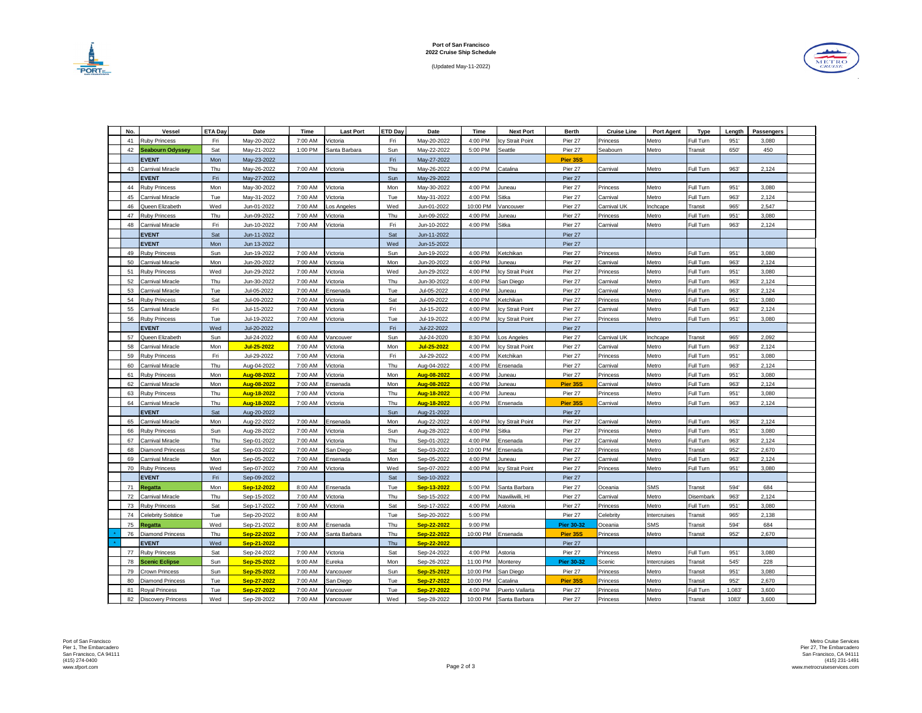(Updated May-11-2022)





| No. | <b>Vessel</b>           | <b>ETA Day</b> | Date        | <b>Time</b> | <b>Last Port</b> | <b>ETD Day</b> | Date        | Time     | <b>Next Port</b>        | <b>Berth</b>      | <b>Cruise Line</b> | <b>Port Agent</b> | <b>Type</b>      | Length | <b>Passengers</b> |  |
|-----|-------------------------|----------------|-------------|-------------|------------------|----------------|-------------|----------|-------------------------|-------------------|--------------------|-------------------|------------------|--------|-------------------|--|
| 41  | <b>Ruby Princess</b>    | Fri            | May-20-2022 | 7:00 AM     | Victoria         | Fri            | May-20-2022 | 4:00 PM  | <b>Icy Strait Point</b> | Pier 27           | <b>Princess</b>    | Metro             | Full Turn        | 951'   | 3,080             |  |
|     | 42 Seabourn Odyssey     | Sat            | May-21-2022 | 1:00 PM     | Santa Barbara    | Sun            | May-22-2022 | 5:00 PM  | Seattle                 | Pier 27           | Seabourn           | Metro             | Transit          | 650'   | 450               |  |
|     | <b>EVENT</b>            | Mon            | May-23-2022 |             |                  | Fri            | May-27-2022 |          |                         | <b>Pier 35S</b>   |                    |                   |                  |        |                   |  |
| 43  | <b>Carnival Miracle</b> | Thu            | May-26-2022 | 7:00 AM     | Victoria         | Thu            | May-26-2022 | 4:00 PM  | Catalina                | Pier 27           | Carnival           | Metro             | Full Turn        | 963'   | 2,124             |  |
|     | <b>EVENT</b>            | Fri            | May-27-2022 |             |                  | Sun            | May-29-2022 |          |                         | Pier 27           |                    |                   |                  |        |                   |  |
| 44  | <b>Ruby Princess</b>    | Mon            | May-30-2022 | 7:00 AM     | Victoria         | Mon            | May-30-2022 | 4:00 PM  | Juneau                  | Pier 27           | Princess           | Metro             | Full Turn        | 951'   | 3,080             |  |
| 45  | <b>Carnival Miracle</b> | Tue            | May-31-2022 | 7:00 AM     | Victoria         | Tue            | May-31-2022 | 4:00 PM  | Sitka                   | Pier 27           | Carnival           | Metro             | Full Turn        | 963'   | 2,124             |  |
| 46  | Queen Elizabeth         | Wed            | Jun-01-2022 | 7:00 AM     | Los Angeles      | Wed            | Jun-01-2022 | 10:00 PM | Vancouver               | Pier 27           | <b>Carnival UK</b> | Inchcape          | Transit          | 965'   | 2,547             |  |
| 47  | <b>Ruby Princess</b>    | Thu            | Jun-09-2022 | 7:00 AM     | Victoria         | Thu            | Jun-09-2022 | 4:00 PM  | Juneau                  | Pier 27           | Princess           | Metro             | Full Turn        | 951'   | 3,080             |  |
| 48  | <b>Carnival Miracle</b> | Fri            | Jun-10-2022 | 7:00 AM     | Victoria         | Fri            | Jun-10-2022 | 4:00 PM  | Sitka                   | Pier 27           | Carnival           | Metro             | Full Turn        | 963'   | 2,124             |  |
|     | <b>EVENT</b>            | Sat            | Jun-11-2022 |             |                  | Sat            | Jun-11-2022 |          |                         | Pier 27           |                    |                   |                  |        |                   |  |
|     | <b>EVENT</b>            | Mon            | Jun 13-2022 |             |                  | Wed            | Jun-15-2022 |          |                         | Pier 27           |                    |                   |                  |        |                   |  |
| 49  | <b>Ruby Princess</b>    | Sun            | Jun-19-2022 | 7:00 AM     | Victoria         | Sun            | Jun-19-2022 | 4:00 PM  | Ketchikan               | Pier 27           | Princess           | Metro             | Full Turn        | 951'   | 3,080             |  |
| 50  | <b>Carnival Miracle</b> | Mon            | Jun-20-2022 | 7:00 AM     | Victoria         | Mon            | Jun-20-2022 | 4:00 PM  | Juneau                  | Pier 27           | Carnival           | Metro             | Full Turn        | 963'   | 2,124             |  |
| 51  | <b>Ruby Princess</b>    | Wed            | Jun-29-2022 | 7:00 AM     | Victoria         | Wed            | Jun-29-2022 | 4:00 PM  | Icy Strait Point        | Pier 27           | Princess           | Metro             | Full Turn        | 951'   | 3,080             |  |
| 52  | <b>Carnival Miracle</b> | Thu            | Jun-30-2022 | 7:00 AM     | Victoria         | Thu            | Jun-30-2022 | 4:00 PM  | San Diego               | Pier 27           | Carnival           | Metro             | Full Turn        | 963'   | 2,124             |  |
| 53  | <b>Carnival Miracle</b> | Tue            | Jul-05-2022 | 7:00 AM     | Ensenada         | Tue            | Jul-05-2022 | 4:00 PM  | Juneau                  | Pier 27           | Carnival           | Metro             | Full Turn        | 963'   | 2,124             |  |
| 54  | <b>Ruby Princess</b>    | Sat            | Jul-09-2022 | 7:00 AM     | Victoria         | Sat            | Jul-09-2022 | 4:00 PM  | Ketchikan               | Pier 27           | Princess           | Metro             | <b>Full Turn</b> | 951'   | 3,080             |  |
| 55  | <b>Carnival Miracle</b> | Fri            | Jul-15-2022 | 7:00 AM     | Victoria         | Fri            | Jul-15-2022 | 4:00 PM  | Icy Strait Point        | Pier 27           | Carnival           | Metro             | Full Turn        | 963'   | 2,124             |  |
| 56  | <b>Ruby Princess</b>    | Tue            | Jul-19-2022 | 7:00 AM     | Victoria         | Tue            | Jul-19-2022 | 4:00 PM  | Icy Strait Point        | Pier 27           | Princess           | Metro             | Full Turn        | 951'   | 3,080             |  |
|     | <b>EVENT</b>            | Wed            | Jul-20-2022 |             |                  | Fri            | Jul-22-2022 |          |                         | Pier 27           |                    |                   |                  |        |                   |  |
|     | Queen Elizabeth         | Sun            |             | 6:00 AM     |                  | Sun            |             | 8:30 PM  |                         |                   | <b>Carnival UK</b> |                   |                  | 965'   | 2,092             |  |
|     |                         |                | Jul-24-2022 |             | Vancouver        |                | Jul-24-2020 |          | Los Angeles             | Pier 27           |                    | Inchcape          | Transit          |        |                   |  |
| 58  | Carnival Miracle        | Mon            | Jul-25-2022 | 7:00 AM     | Victoria         | Mon            | Jul-25-2022 | 4:00 PM  | <b>Icy Strait Point</b> | Pier 27           | Carnival           | Metro             | <b>Full Turn</b> | 963'   | 2,124             |  |
| 59  | <b>Ruby Princess</b>    | Fri            | Jul-29-2022 | 7:00 AM     | Victoria         | Fri            | Jul-29-2022 | 4:00 PM  | Ketchikan               | Pier 27           | Princess           | Metro             | Full Turn        | 951    | 3,080             |  |
| 60  | <b>Carnival Miracle</b> | Thu            | Aug-04-2022 | 7:00 AM     | Victoria         | Thu            | Aug-04-2022 | 4:00 PM  | Ensenada                | Pier 27           | Carnival           | Metro             | Full Turn        | 963'   | 2,124             |  |
|     | 61 Ruby Princess        | Mon            | Aug-08-2022 | 7:00 AM     | Victoria         | Mon            | Aug-08-2022 | 4:00 PM  | Juneau                  | Pier 27           | Princess           | Metro             | Full Turn        | 951'   | 3,080             |  |
| 62  | <b>Carnival Miracle</b> | Mon            | Aug-08-2022 | 7:00 AM     | Ensenada         | Mon            | Aug-08-2022 | 4:00 PM  | Juneau                  | <b>Pier 35S</b>   | Carnival           | Metro             | Full Turn        | 963'   | 2,124             |  |
|     | 63 Ruby Princess        | Thu            | Aug-18-2022 | 7:00 AM     | Victoria         | Thu            | Aug-18-2022 | 4:00 PM  | Juneau                  | Pier 27           | Princess           | Metro             | Full Turn        | 951'   | 3,080             |  |
| 64  | Carnival Miracle        | Thu            | Aug-18-2022 | 7:00 AM     | Victoria         | Thu            | Aug-18-2022 | 4:00 PM  | Ensenada                | <b>Pier 35S</b>   | Carnival           | Metro             | Full Turn        | 963'   | 2,124             |  |
|     | <b>EVENT</b>            | Sat            | Aug-20-2022 |             |                  | Sun            | Aug-21-2022 |          |                         | Pier 27           |                    |                   |                  |        |                   |  |
| 65  | Carnival Miracle        | Mon            | Aug-22-2022 | 7:00 AM     | Ensenada         | Mon            | Aug-22-2022 | 4:00 PM  | Icy Strait Point        | Pier 27           | Carnival           | Metro             | Full Turn        | 963'   | 2,124             |  |
|     | 66 Ruby Princess        | Sun            | Aug-28-2022 | 7:00 AM     | Victoria         | Sun            | Aug-28-2022 | 4:00 PM  | Sitka                   | Pier 27           | Princess           | Metro             | Full Turn        | 951'   | 3,080             |  |
| 67  | <b>Carnival Miracle</b> | Thu            | Sep-01-2022 | 7:00 AM     | Victoria         | Thu            | Sep-01-2022 | 4:00 PM  | Ensenada                | Pier 27           | Carnival           | Metro             | Full Turn        | 963'   | 2,124             |  |
| 68  | Diamond Princess        | Sat            | Sep-03-2022 | 7:00 AM     | San Diego        | Sat            | Sep-03-2022 | 10:00 PM | Ensenada                | Pier 27           | Princess           | Metro             | Transit          | 952'   | 2,670             |  |
| 69  | <b>Carnival Miracle</b> | Mon            | Sep-05-2022 | 7:00 AM     | Ensenada         | Mon            | Sep-05-2022 | 4:00 PM  | Juneau                  | Pier 27           | Carnival           | Metro             | Full Turn        | 963'   | 2,124             |  |
|     | 70 Ruby Princess        | Wed            | Sep-07-2022 | 7:00 AM     | Victoria         | Wed            | Sep-07-2022 | 4:00 PM  | Icy Strait Point        | Pier 27           | Princess           | Metro             | Full Turn        | 951'   | 3,080             |  |
|     | <b>EVENT</b>            | Fri            | Sep-09-2022 |             |                  | Sat            | Sep-10-2022 |          |                         | Pier 27           |                    |                   |                  |        |                   |  |
| 71  | Regatta                 | Mon            | Sep-12-2022 | 8:00 AM     | Ensenada         | Tue            | Sep-13-2022 | 5:00 PM  | Santa Barbara           | Pier 27           | Oceania            | <b>SMS</b>        | Transit          | 594'   | 684               |  |
| 72  | <b>Carnival Miracle</b> | Thu            | Sep-15-2022 | 7:00 AM     | Victoria         | Thu            | Sep-15-2022 | 4:00 PM  | Nawiliwilli, HI         | Pier 27           | Carnival           | Metro             | Disembark        | 963'   | 2,124             |  |
|     | 73   Ruby Princess      | Sat            | Sep-17-2022 | 7:00 AM     | Victoria         | Sat            | Sep-17-2022 | 4:00 PM  | Astoria                 | Pier 27           | Princess           | Metro             | Full Turn        | 951'   | 3,080             |  |
| 74  | Celebrity Solstice      | Tue            | Sep-20-2022 | 8:00 AM     |                  | Tue            | Sep-20-2022 | 5:00 PM  |                         | Pier 27           | Celebrity          | Intercruises      | Transit          | 965'   | 2,138             |  |
| 75  | <b>Regatta</b>          | Wed            | Sep-21-2022 | 8:00 AM     | Ensenada         | Thu            | Sep-22-2022 | 9:00 PM  |                         | <b>Pier 30-32</b> | Oceania            | <b>SMS</b>        | Transit          | 594'   | 684               |  |
| 76  | Diamond Princess        | Thu            | Sep-22-2022 | 7:00 AM     | Santa Barbara    | Thu            | Sep-22-2022 | 10:00 PM | Ensenada                | <b>Pier 35S</b>   | <b>Princess</b>    | Metro             | Transit          | 952'   | 2,670             |  |
|     | <b>EVENT</b>            | Wed            | Sep-21-2022 |             |                  | Thu            | Sep-22-2022 |          |                         | Pier 27           |                    |                   |                  |        |                   |  |
| 77  | <b>Ruby Princess</b>    | Sat            | Sep-24-2022 | 7:00 AM     | Victoria         | Sat            | Sep-24-2022 | 4:00 PM  | Astoria                 | Pier 27           | Princess           | Metro             | Full Turn        | 951'   | 3,080             |  |
|     | 78 Scenic Eclipse       | Sun            | Sep-25-2022 | 9:00 AM     | Eureka           | Mon            | Sep-26-2022 | 11:00 PM | Monterey                | <b>Pier 30-32</b> | Scenic             | Intercruises      | Transit          | 545'   | 228               |  |
| 79  | <b>Crown Princess</b>   | Sun            | Sep-25-2022 | 7:00 AM     | Vancouver        | Sun            | Sep-25-2022 | 10:00 PM | San Diego               | Pier 27           | Princess           | Metro             | Transit          | 951'   | 3,080             |  |
| 80  | Diamond Princess        | Tue            | Sep-27-2022 | 7:00 AM     | San Diego        | Tue            | Sep-27-2022 | 10:00 PM | Catalina                | <b>Pier 35S</b>   | Princess           | Metro             | Transit          | 952'   | 2,670             |  |
| 81  | <b>Royal Princess</b>   | Tue            | Sep-27-2022 | 7:00 AM     | Vancouver        | Tue            | Sep-27-2022 | 4:00 PM  | Puerto Vallarta         | Pier 27           | <b>Princess</b>    | Metro             | Full Turn        | 1,083' | 3,600             |  |
|     | 82   Discovery Princess | Wed            | Sep-28-2022 | 7:00 AM     | Vancouver        | Wed            | Sep-28-2022 | 10:00 PM | Santa Barbara           | Pier 27           | <b>Princess</b>    | Metro             | Transit          | 1083'  | 3,600             |  |

Port of San Francisco Pier 1, The Embarcadero San Francisco, CA 94111 (415) 274-0400 www.sfport.com Page 2 of 3